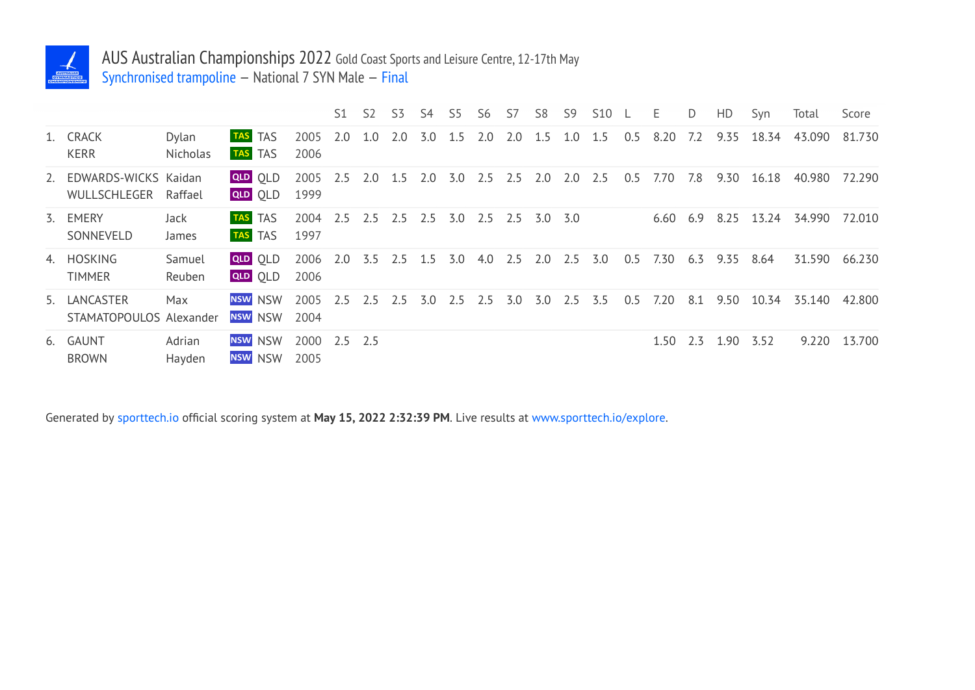

## AUS Australian Championships 2022 Gold Coast Sports and Leisure Centre, 12-17th May

Synchronised trampoline — National 7 SYN Male — Final

|                                         |                   |                                  |                      | S1  | S <sub>2</sub> | S <sub>3</sub> | S4      | S5        | S6        | S7  | S8  | S9  | <b>S10</b> |     | E            | D   | HD   | Syn   | Total  | Score  |
|-----------------------------------------|-------------------|----------------------------------|----------------------|-----|----------------|----------------|---------|-----------|-----------|-----|-----|-----|------------|-----|--------------|-----|------|-------|--------|--------|
| 1. CRACK<br><b>KERR</b>                 | Dylan<br>Nicholas | TAS TAS<br>TAS TAS               | 2005<br>2006         | 2.0 | 1.0            | 2.0            | 3.0     | 1.5       | 2.0       | 2.0 | 1.5 | 1.0 | 1.5        | 0.5 | 8.20         | 7.2 | 9.35 | 18.34 | 43.090 | 81.730 |
| 2. EDWARDS-WICKS Kaidan<br>WULLSCHLEGER | Raffael           | <b>QLD QLD</b><br>QLD OLD        | 2005<br>1999         | 2.5 | 2.0            | 1.5            | 2.0     | 3.0       | $2.5$ 2.5 |     | 2.0 | 2.0 | 2.5        | 0.5 | 7.70         | 7.8 | 9.30 | 16.18 | 40.980 | 72.290 |
| 3. EMERY<br>SONNEVELD                   | Jack<br>James     | <b>TAS</b> TAS<br><b>TAS</b> TAS | 2004<br>1997         | 2.5 | 2.5            | 2.5            | 2.5 3.0 |           | 2.5 2.5   |     | 3.0 | 3.0 |            |     | $6.60$ $6.9$ |     | 8.25 | 13.24 | 34.990 | 72.010 |
| 4. HOSKING<br><b>TIMMER</b>             | Samuel<br>Reuben  | QLD OLD<br>QLD OLD               | 2006<br>2006         | 2.0 | 3.5            | $2.5$ 1.5      |         | 3.0       | $4.0$ 2.5 |     | 2.0 | 2.5 | 3.0        | 0.5 | 7.30         | 6.3 | 9.35 | 8.64  | 31.590 | 66.230 |
| 5. LANCASTER<br>STAMATOPOULOS Alexander | Max               | <b>NSW NSW</b><br><b>NSW NSW</b> | 2005<br>2004         | 2.5 | 2.5            | 2.5            |         | $3.0$ 2.5 | 2.5       | 3.0 | 3.0 | 2.5 | 3.5        | 0.5 | 7.20         | 8.1 | 9.50 |       |        | 42.800 |
| 6. GAUNT<br><b>BROWN</b>                | Adrian<br>Hayden  | <b>NSW NSW</b><br>NSW NSW        | 2000 2.5 2.5<br>2005 |     |                |                |         |           |           |     |     |     |            |     | 1.50         | 2.3 | 1.90 | 3.52  | 9.220  | 13.700 |

Generated by sporttech.io official scoring system at **May 15, 2022 2:32:39 PM**. Live results at www.sporttech.io/explore.